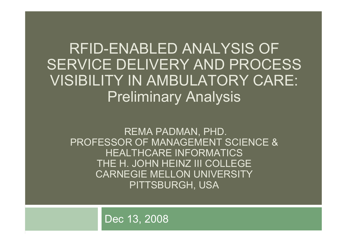RFID-ENABLED ANALYSIS OF SERVICE DELIVERY AND PROCESS VISIBILITY IN AMBULATORY CARE: Preliminary Analysis

REMA PADMAN, PHD. PROFESSOR OF MANAGEMENT SCIENCE & HEALTHCARE INFORMATICS THE H. JOHN HEINZ III COLLEGE CARNEGIE MELLON UNIVERSITYPITTSBURGH, USA

Dec 13, 2008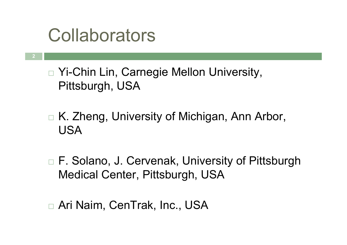## Collaborators

2

 $\Box$ □ Yi-Chin Lin, Carnegie Mellon University, Pittsburgh, USA

 $\Box$ □ K. Zheng, University of Michigan, Ann Arbor, USA

 $\Box$ □ F. Solano, J. Cervenak, University of Pittsburgh Medical Center, Pittsburgh, USA

 $\Box$ □ Ari Naim, CenTrak, Inc., USA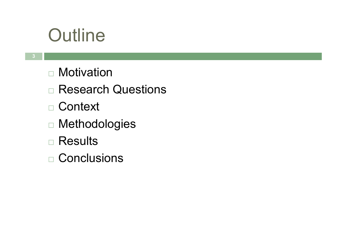## **Outline**

- $\Box$ □ Motivation
- $\Box$ □ Research Questions
- $\Box$ □ Context
- $\Box$ Methodologies
- $\Box$ □ Results
- $\Box$ □ Conclusions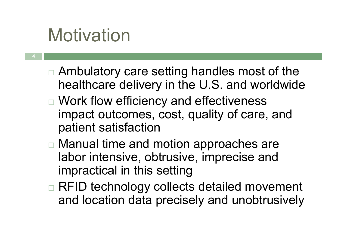## Motivation

- $\Box$ □ Ambulatory care setting handles most of the healthcare delivery in the U.S. and worldwide
- $\Box$ □ Work flow efficiency and effectiveness impact outcomes, cost, quality of care, and patient satisfaction
- $\Box$ □ Manual time and motion approaches are labor intensive, obtrusive, imprecise and impractical in this setting
- $\Box$ □ RFID technology collects detailed movement and location data precisely and unobtrusively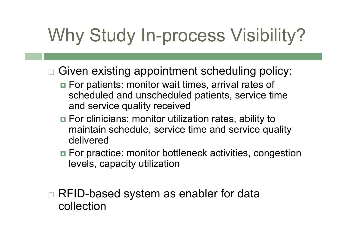# Why Study In-process Visibility?

- $\Box$  Given existing appointment scheduling policy:
	- **n** For patients: monitor wait times, arrival rates of scheduled and unscheduled patients, service time and service quality received
	- For clinicians: monitor utilization rates, ability to maintain schedule, service time and service qualitydelivered
	- **E** For practice: monitor bottleneck activities, congestion levels, capacity utilization

 $\Box$ □ RFID-based system as enabler for data collection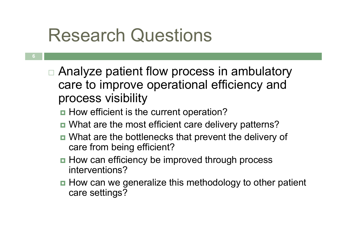## Research Questions

- 6
- $\Box$ □ Analyze patient flow process in ambulatory care to improve operational efficiency and process visibility
	- **How efficient is the current operation?**
	- What are the most efficient care delivery patterns?
	- What are the bottlenecks that prevent the delivery of care from being efficient?
	- How can efficiency be improved through process interventions?
	- How can we generalize this methodology to other patient care settings?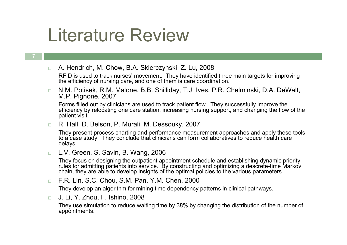## Literature Review

#### 7

 $\Box$ □ A. Hendrich, M. Chow, B.A. Skierczynski, Z. Lu, 2008

 RFID is used to track nurses' movement. They have identified three main targets for improving the efficiency of nursing care, and one of them is care coordination.

 $\Box$  N.M. Potisek, R.M. Malone, B.B. Shilliday, T.J. Ives, P.R. Chelminski, D.A. DeWalt, M.P. Pignone, 2007

 Forms filled out by clinicians are used to track patient flow. They successfully improve the efficiency by relocating one care station, increasing nursing support, and changing the flow of the patient visit.

 $\Box$ R. Hall, D. Belson, P. Murali, M. Dessouky, 2007

They present process charting and performance measurement approaches and apply these tools to a case study. They conclude that clinicians can form collaboratives to reduce health care delays.

 $\Box$ L.V. Green, S. Savin, B. Wang, 2006

They focus on designing the outpatient appointment schedule and establishing dynamic priority rules for admitting patients into service. By constructing and optimizing a descrete-time Markov chain, they are able to develop insights of the optimal policies to the various parameters.

 $\Box$ F.R. Lin, S.C. Chou, S.M. Pan, Y.M. Chen, 2000

They develop an algorithm for mining time dependency patterns in clinical pathways.

 $\Box$ J. Li, Y. Zhou, F. Ishino, 2008

> They use simulation to reduce waiting time by 38% by changing the distribution of the number of appointments.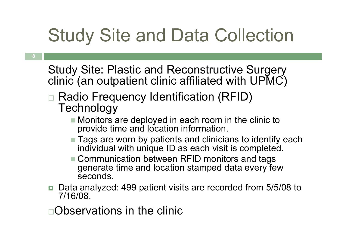## Study Site and Data Collection

Study Site: Plastic and Reconstructive Surgery clinic (an outpatient clinic affiliated with UPMC)

- $\Box$ □ Radio Frequency Identification (RFID) **Technology** 
	- Monitors are deployed in each room in the clinic to provide time and location information.
	- **Tags are worn by patients and clinicians to identify each rights.** individual with unique ID as each visit is completed.
	- Communication between RFID monitors and tags<br>conservate time and lesstion atemped data even for generate time and location stamped data every few seconds.
- Data analyzed: 499 patient visits are recorded from 5/5/08 to<br>2/16/09 7/16/08.

Observations in the clinic

8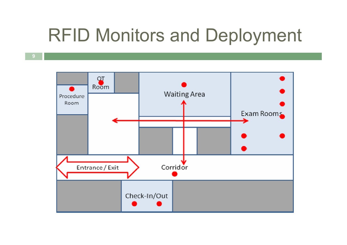## RFID Monitors and Deployment

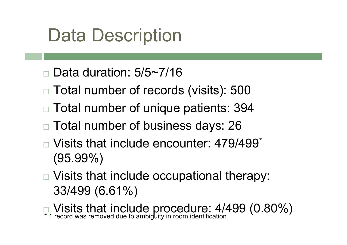## Data Description

- $\Box$ Data duration: 5/5~7/16
- $\Box$ □ Total number of records (visits): 500
- $\Box$  $\Box$  Total number of unique patients: 394  $\Box$
- $\Box$ □ Total number of business days: 26
- $\Box$ □ Visits that include encounter: 479/499<sup>\*</sup> (95.99%)
- $\Box$ □ Visits that include occupational therapy: 33/499 (6.61%)
- $\Box$ **Nisits that include procedure: 4/499 (0.80%)** \*1 record was removed due to ambiguity in room identification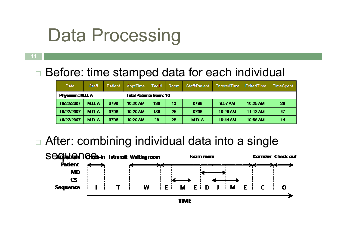## Data Processing

#### $\Box$ □ Before: time stamped data for each individual

| Date                    | <b>Staff</b> | Patient | <b>ApptTime</b>                | Tagld | Room | Staff/Patient | <b>EnteredTime</b> | <b>ExitedTime</b> | TimeSpent |
|-------------------------|--------------|---------|--------------------------------|-------|------|---------------|--------------------|-------------------|-----------|
| <b>Physician: M.D.A</b> |              |         | <b>Total Patients Seen: 10</b> |       |      |               |                    |                   |           |
| 10/22/2007              | M.D.A.       | 0798    | 10:20 AM                       | 139   | 13   | 0798          | 9:57 AM            | 10:25 AM          | -28       |
| 10/22/2007              | <b>M.D.A</b> | 0798    | $10:20$ AM                     | 139   | 25   | 0798          | $10 - 26$ AM       | 11:13 AM          | 47        |
| 10/22/2007              | M.D.A        | 0798    | $10:20$ AM                     | 28    | 25   | M.D. A        | 10:44 AM           | 10:58 AM          | 14        |

 $\Box$ □ After: combining individual data into a single



11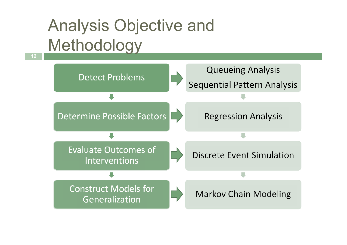## Analysis Objective and Methodology

12

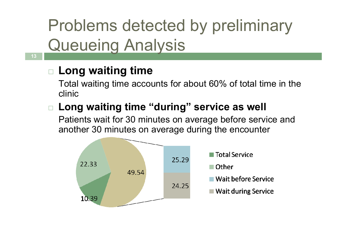Problems detected by preliminary **Queueing Analysis** 

### $\Box$  Long waiting time

13

 Total waiting time accounts for about 60% of total time in the clinic

#### $\Box$  Long waiting time "during" service as well

Patients wait for 30 minutes on average before service and another 30 minutes on average during the encounter

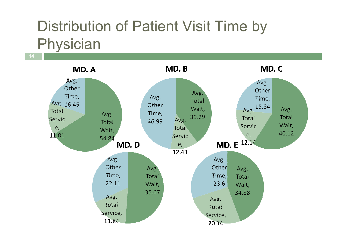### Distribution of Patient Visit Time by Physician

14

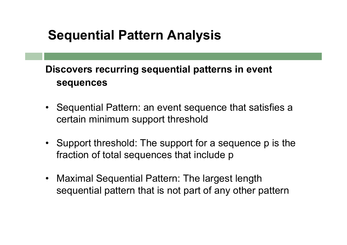#### Sequential Pattern Analysis

#### Discovers recurring sequential patterns in event sequences

- Sequential Pattern: an event sequence that satisfies a certain minimum support threshold
- Support threshold: The support for a sequence p is the fraction of total sequences that include p
- $\bullet$  Maximal Sequential Pattern: The largest length sequential pattern that is not part of any other pattern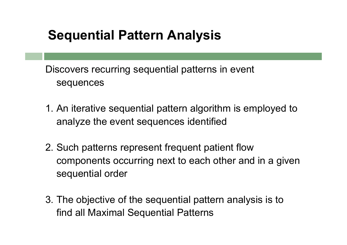#### Sequential Pattern Analysis

Discovers recurring sequential patterns in event sequences

- 1. An iterative sequential pattern algorithm is employed to analyze the event sequences identified
- 2. Such patterns represent frequent patient flow components occurring next to each other and in a given sequential order
- 3. The objective of the sequential pattern analysis is to find all Maximal Sequential Patterns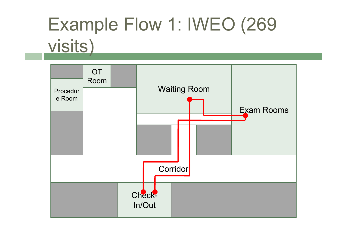# Example Flow 1: IWEO (269 visits)

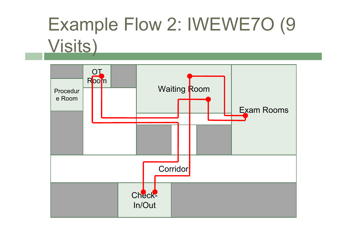# Example Flow 2: IWEWE7O (9 Visits)

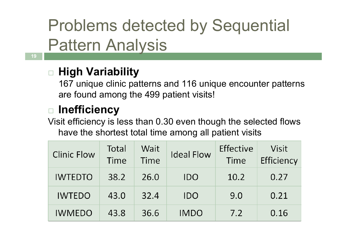## Problems detected by Sequential Pattern Analysis

### □ High Variability

 167 unique clinic patterns and 116 unique encounter patterns are found among the 499 patient visits!

#### $\Box$ □ Inefficiency

 Visit efficiency is less than 0.30 even though the selected flows have the shortest total time among all patient visits

| <b>Clinic Flow</b> | Total<br>Time | Wait<br>Time | <b>Ideal Flow</b> | Effective<br>Time | Visit<br>Efficiency |
|--------------------|---------------|--------------|-------------------|-------------------|---------------------|
| <b>IWTEDTO</b>     | 38.2          | 26.0         | IDO               | 10.2              | 0.27                |
| <b>IWTEDO</b>      | 43.0          | 32.4         | <b>IDO</b>        | 9.0               | 0.21                |
| <b>IWMEDO</b>      | 43.8          | 36.6         | <b>IMDO</b>       | 7.2               | 0.16                |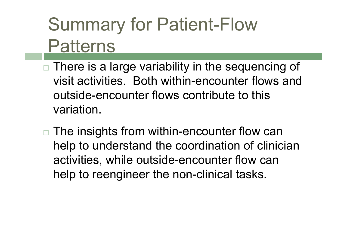## Summary for Patient-Flow Patterns

- $\Box$ □ There is a large variability in the sequencing of visit activities. Both within-encounter flows and outside-encounter flows contribute to this variation.
- $\Box$ □ The insights from within-encounter flow can help to understand the coordination of clinician activities, while outside-encounter flow can help to reengineer the non-clinical tasks.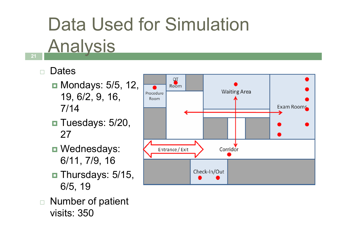# Data Used for Simulation

#### **Analysis** 21 | **1990 | 1990 | 1990 | 1990 | 1990 | 1990 | 1990 | 1990 | 1990 | 1990 | 1990 | 1990 | 1990 | 1990**

#### $\Box$ **Dates**

- Mondays: 5/5, 12, 19, 6/2, 9, 16, 7/14
- **□** Tuesdays: 5/20, 27
- **□** Wednesdays: 6/11, 7/9, 16
- Thursdays: 5/15,<br>● 10 6/5, 19
- $\Box$  Number of patient visits: 350

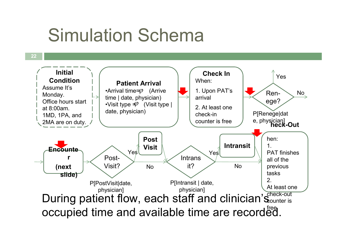## Simulation Schema

22

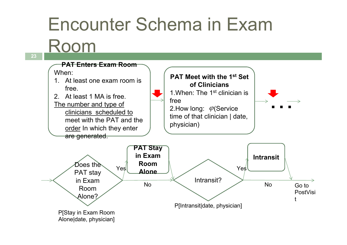## Encounter Schema in Exam

Room

PAT Enters Exam RoomWhen:1. At least one exam room is free.2. At least 1 MA is free.The number and type of clinicians scheduled to meet with the PAT and the <u>order</u> In which they enter are generated. Does the PAT stay in Exam Room Alone?PAT Stay in Exam Room AloneP[Stay in Exam Room Alone|date, physician]P[Intransit|date, physician]PAT Meet with the 1<sup>st</sup> Set of Clinicians1.When: The 1<sup>st</sup> clinician is free2.How long:  $\mathcal{\varphi}(\mathsf{Service})$ time of that clinician | date, physician)…Intransit? $Yes$  **Room**<br>  $Yes$  **Alone**<br>
No<br>  $Yes$ Intransit?<br>
Intransit?<br>
No The Monde Contrast? Go to PostVisit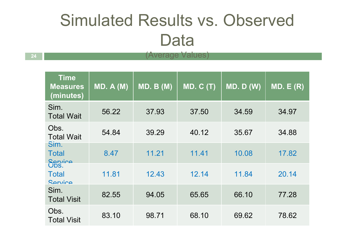## Simulated Results vs. Observed Data

| Time<br><b>Measures</b><br>(minutes) | MD. A(M) | MD. B(M) | MD. C(T) | MD. D (W) | MD. E(R) |
|--------------------------------------|----------|----------|----------|-----------|----------|
| Sim.<br><b>Total Wait</b>            | 56.22    | 37.93    | 37.50    | 34.59     | 34.97    |
| Obs.<br><b>Total Wait</b>            | 54.84    | 39.29    | 40.12    | 35.67     | 34.88    |
| Sim.<br><b>Total</b><br>Service      | 8.47     | 11.21    | 11.41    | 10.08     | 17.82    |
| <b>Total</b><br>Service              | 11.81    | 12.43    | 12.14    | 11.84     | 20.14    |
| Sim.<br><b>Total Visit</b>           | 82.55    | 94.05    | 65.65    | 66.10     | 77.28    |
| Obs.<br><b>Total Visit</b>           | 83.10    | 98.71    | 68.10    | 69.62     | 78.62    |

244 | **Average Values**)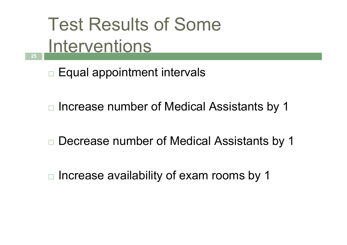Test Results of Some Interventions

 $\Box$  $\Box$  Equal appointment intervals

25

 $\Box$ Increase number of Medical Assistants by 1

 $\Box$ Decrease number of Medical Assistants by 1

 $\Box$  $\Box$  Increase availability of exam rooms by 1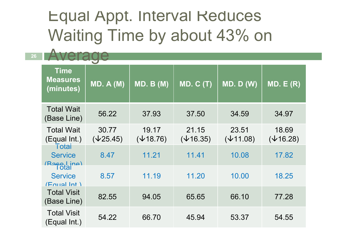### Equal Appt. Interval Reduces Waiting Time by about 43% on

26

| <b>Time</b><br><b>Measures</b><br>(minutes) | <b>MD. A (M)</b>          | MD. B(M)                  | <b>MD. C (T)</b>          | <b>MD. D (W)</b>          | MD. E(R)                  |  |  |
|---------------------------------------------|---------------------------|---------------------------|---------------------------|---------------------------|---------------------------|--|--|
| <b>Total Wait</b><br>(Base Line)            | 56.22                     | 37.93                     | 37.50                     | 34.59                     | 34.97                     |  |  |
| <b>Total Wait</b><br>(Equal Int.)<br>Totai  | 30.77<br>$(\sqrt{25.45})$ | 19.17<br>$(\sqrt{18.76})$ | 21.15<br>$(\sqrt{16.35})$ | 23.51<br>$(\sqrt{11.08})$ | 18.69<br>$(\sqrt{16.28})$ |  |  |
| <b>Service</b><br>(Rase Line)               | 8.47                      | 11.21                     | 11.41                     | 10.08                     | 17.82                     |  |  |
| <b>Service</b><br>(Fnual Int)               | 8.57                      | 11.19                     | 11.20                     | 10.00                     | 18.25                     |  |  |
| <b>Total Visit</b><br>(Base Line)           | 82.55                     | 94.05                     | 65.65                     | 66.10                     | 77.28                     |  |  |
| <b>Total Visit</b><br>(Equal Int.)          | 54.22                     | 66.70                     | 45.94                     | 53.37                     | 54.55                     |  |  |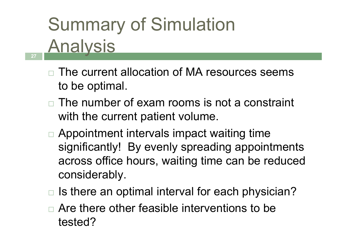### Summary of Simulation **Analysis** 27 | **1990 | 1990 | 1990 | 1990 | 1990 | 1990 | 1990 | 1990 | 1990 | 1990 | 1990 | 1990 | 1990 | 1990**

- $\Box$  The current allocation of MA resources seems to be optimal.
- $\Box$  The number of exam rooms is not a constraint with the current patient volume.
- □ Appointment intervals impact waiting time significantly! By evenly spreading appointments across office hours, waiting time can be reduced considerably.
- $\Box$ Is there an optimal interval for each physician?
- $\Box$ □ Are there other feasible interventions to be tested?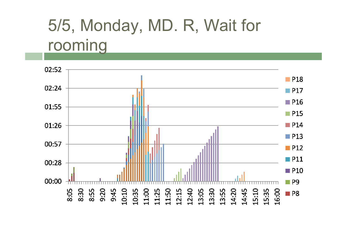## 5/5, Monday, MD. R, Wait for rooming

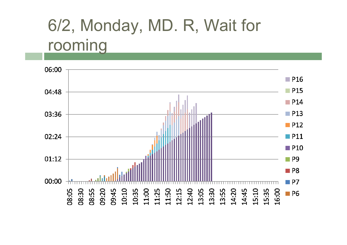## 6/2, Monday, MD. R, Wait for rooming

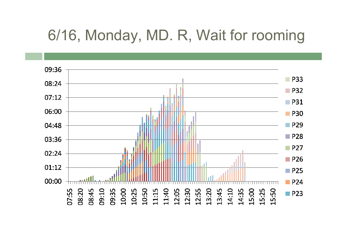#### 6/16, Monday, MD. R, Wait for rooming

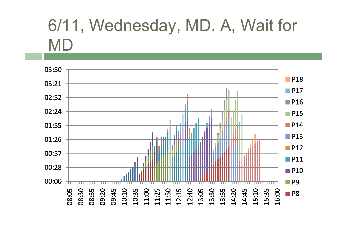## 6/11, Wednesday, MD. A, Wait for MD